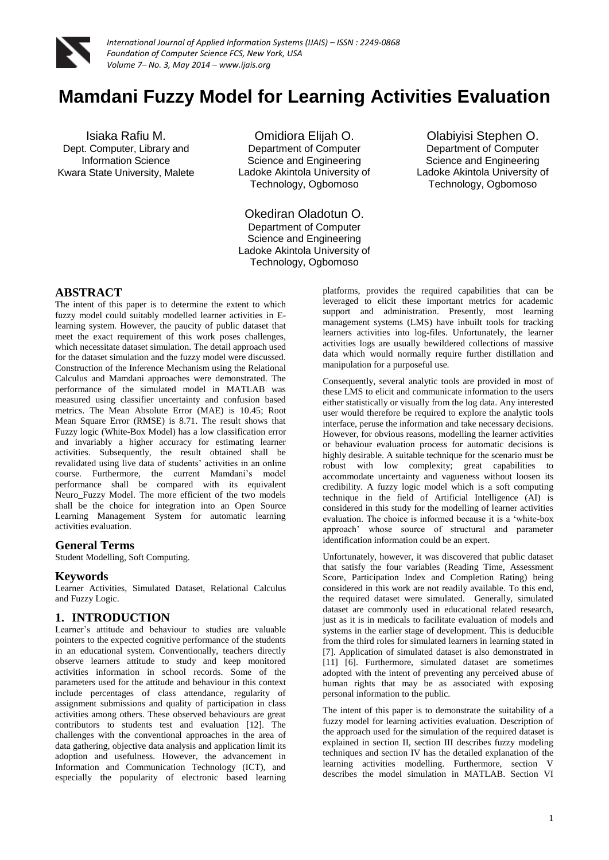

# **Mamdani Fuzzy Model for Learning Activities Evaluation**

Isiaka Rafiu M. Dept. Computer, Library and Information Science Kwara State University, Malete

Omidiora Elijah O. Department of Computer Science and Engineering Ladoke Akintola University of Technology, Ogbomoso

Okediran Oladotun O. Department of Computer Science and Engineering Ladoke Akintola University of Technology, Ogbomoso

Olabiyisi Stephen O. Department of Computer Science and Engineering Ladoke Akintola University of Technology, Ogbomoso

# **ABSTRACT**

The intent of this paper is to determine the extent to which fuzzy model could suitably modelled learner activities in Elearning system. However, the paucity of public dataset that meet the exact requirement of this work poses challenges, which necessitate dataset simulation. The detail approach used for the dataset simulation and the fuzzy model were discussed. Construction of the Inference Mechanism using the Relational Calculus and Mamdani approaches were demonstrated. The performance of the simulated model in MATLAB was measured using classifier uncertainty and confusion based metrics. The Mean Absolute Error (MAE) is 10.45; Root Mean Square Error (RMSE) is 8.71. The result shows that Fuzzy logic (White-Box Model) has a low classification error and invariably a higher accuracy for estimating learner activities. Subsequently, the result obtained shall be revalidated using live data of students' activities in an online course. Furthermore, the current Mamdani's model performance shall be compared with its equivalent Neuro\_Fuzzy Model. The more efficient of the two models shall be the choice for integration into an Open Source Learning Management System for automatic learning activities evaluation.

### **General Terms**

Student Modelling, Soft Computing.

#### **Keywords**

Learner Activities, Simulated Dataset, Relational Calculus and Fuzzy Logic.

### **1. INTRODUCTION**

Learner's attitude and behaviour to studies are valuable pointers to the expected cognitive performance of the students in an educational system. Conventionally, teachers directly observe learners attitude to study and keep monitored activities information in school records. Some of the parameters used for the attitude and behaviour in this context include percentages of class attendance, regularity of assignment submissions and quality of participation in class activities among others. These observed behaviours are great contributors to students test and evaluation [12]. The challenges with the conventional approaches in the area of data gathering, objective data analysis and application limit its adoption and usefulness. However, the advancement in Information and Communication Technology (ICT), and especially the popularity of electronic based learning

platforms, provides the required capabilities that can be leveraged to elicit these important metrics for academic support and administration. Presently, most learning management systems (LMS) have inbuilt tools for tracking learners activities into log-files. Unfortunately, the learner activities logs are usually bewildered collections of massive data which would normally require further distillation and manipulation for a purposeful use.

Consequently, several analytic tools are provided in most of these LMS to elicit and communicate information to the users either statistically or visually from the log data. Any interested user would therefore be required to explore the analytic tools interface, peruse the information and take necessary decisions. However, for obvious reasons, modelling the learner activities or behaviour evaluation process for automatic decisions is highly desirable. A suitable technique for the scenario must be robust with low complexity; great capabilities to accommodate uncertainty and vagueness without loosen its credibility. A fuzzy logic model which is a soft computing technique in the field of Artificial Intelligence (AI) is considered in this study for the modelling of learner activities evaluation. The choice is informed because it is a 'white-box approach' whose source of structural and parameter identification information could be an expert.

Unfortunately, however, it was discovered that public dataset that satisfy the four variables (Reading Time, Assessment Score, Participation Index and Completion Rating) being considered in this work are not readily available. To this end, the required dataset were simulated. Generally, simulated dataset are commonly used in educational related research, just as it is in medicals to facilitate evaluation of models and systems in the earlier stage of development. This is deducible from the third roles for simulated learners in learning stated in [7]. Application of simulated dataset is also demonstrated in [11] [6]. Furthermore, simulated dataset are sometimes adopted with the intent of preventing any perceived abuse of human rights that may be as associated with exposing personal information to the public.

The intent of this paper is to demonstrate the suitability of a fuzzy model for learning activities evaluation. Description of the approach used for the simulation of the required dataset is explained in section II, section III describes fuzzy modeling techniques and section IV has the detailed explanation of the learning activities modelling. Furthermore, section V describes the model simulation in MATLAB. Section VI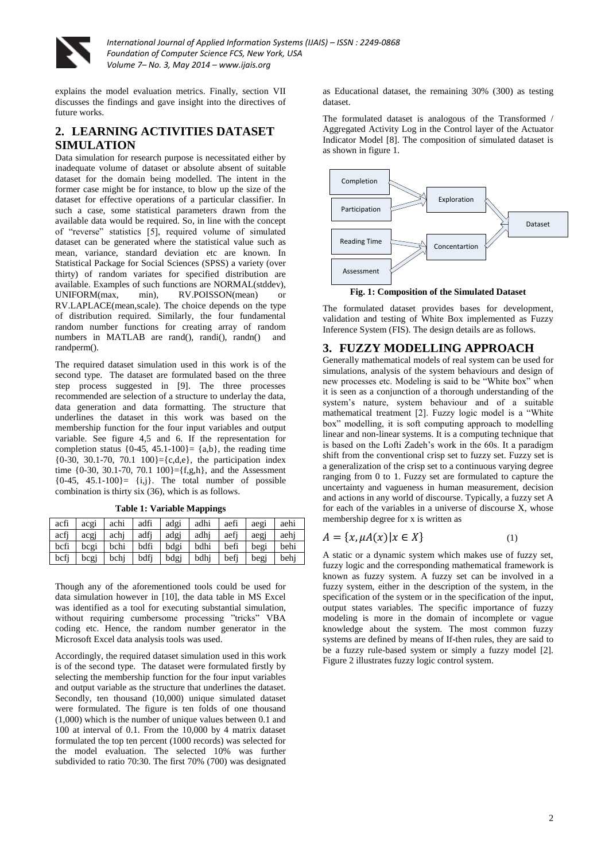

explains the model evaluation metrics. Finally, section VII discusses the findings and gave insight into the directives of future works.

# **2. LEARNING ACTIVITIES DATASET SIMULATION**

Data simulation for research purpose is necessitated either by inadequate volume of dataset or absolute absent of suitable dataset for the domain being modelled. The intent in the former case might be for instance, to blow up the size of the dataset for effective operations of a particular classifier. In such a case, some statistical parameters drawn from the available data would be required. So, in line with the concept of "reverse" statistics [5], required volume of simulated dataset can be generated where the statistical value such as mean, variance, standard deviation etc are known. In Statistical Package for Social Sciences (SPSS) a variety (over thirty) of random variates for specified distribution are available. Examples of such functions are NORMAL(stddev), UNIFORM(max, min), RV.POISSON(mean) or RV.LAPLACE(mean,scale). The choice depends on the type of distribution required. Similarly, the four fundamental random number functions for creating array of random numbers in MATLAB are rand(), randi(), randn() and randperm().

The required dataset simulation used in this work is of the second type. The dataset are formulated based on the three step process suggested in [9]. The three processes recommended are selection of a structure to underlay the data, data generation and data formatting. The structure that underlines the dataset in this work was based on the membership function for the four input variables and output variable. See figure 4,5 and 6. If the representation for completion status  ${0.45, 45.1 \cdot 100}$  =  ${a,b}$ , the reading time  ${0-30, 30.1-70, 70.1 \ 100} = {c,d,e}$ , the participation index time  ${0.30, 30.1-70, 70.1, 100} = {f, g, h}$ , and the Assessment  ${0-45, 45.1-100}$  =  ${i,j}$ . The total number of possible combination is thirty six (36), which is as follows.

| acfi | acgi | achi | adfi | adgi | adhi | aefi | aegi | aehi |
|------|------|------|------|------|------|------|------|------|
| acfi | acgj | achi | adfi | adgj | adhi | aefi | aeg  | aehi |
| bcfi | bcgi | bchi | bdfi | bdgi | bdhi | befi | begi | behi |
| bcfi | bcgi | bchi | bdfi | bdgj | bdhi | befi | begj | behi |

**Table 1: Variable Mappings**

Though any of the aforementioned tools could be used for data simulation however in [10], the data table in MS Excel was identified as a tool for executing substantial simulation, without requiring cumbersome processing "tricks" VBA coding etc. Hence, the random number generator in the Microsoft Excel data analysis tools was used.

Accordingly, the required dataset simulation used in this work is of the second type. The dataset were formulated firstly by selecting the membership function for the four input variables and output variable as the structure that underlines the dataset. Secondly, ten thousand (10,000) unique simulated dataset were formulated. The figure is ten folds of one thousand (1,000) which is the number of unique values between 0.1 and 100 at interval of 0.1. From the 10,000 by 4 matrix dataset formulated the top ten percent (1000 records) was selected for the model evaluation. The selected 10% was further subdivided to ratio 70:30. The first 70% (700) was designated

as Educational dataset, the remaining 30% (300) as testing dataset.

The formulated dataset is analogous of the Transformed / Aggregated Activity Log in the Control layer of the Actuator Indicator Model [8]. The composition of simulated dataset is as shown in figure 1.



**Fig. 1: Composition of the Simulated Dataset**

The formulated dataset provides bases for development, validation and testing of White Box implemented as Fuzzy Inference System (FIS). The design details are as follows.

# **3. FUZZY MODELLING APPROACH**

Generally mathematical models of real system can be used for simulations, analysis of the system behaviours and design of new processes etc. Modeling is said to be "White box" when it is seen as a conjunction of a thorough understanding of the system's nature, system behaviour and of a suitable mathematical treatment [2]. Fuzzy logic model is a "White box" modelling, it is soft computing approach to modelling linear and non-linear systems. It is a computing technique that is based on the Lofti Zadeh's work in the 60s. It a paradigm shift from the conventional crisp set to fuzzy set. Fuzzy set is a generalization of the crisp set to a continuous varying degree ranging from 0 to 1. Fuzzy set are formulated to capture the uncertainty and vagueness in human measurement, decision and actions in any world of discourse. Typically, a fuzzy set A for each of the variables in a universe of discourse X, whose membership degree for x is written as

$$
A = \{x, \mu A(x) | x \in X\}
$$
 (1)

A static or a dynamic system which makes use of fuzzy set, fuzzy logic and the corresponding mathematical framework is known as fuzzy system. A fuzzy set can be involved in a fuzzy system, either in the description of the system, in the specification of the system or in the specification of the input, output states variables. The specific importance of fuzzy modeling is more in the domain of incomplete or vague knowledge about the system. The most common fuzzy systems are defined by means of If-then rules, they are said to be a fuzzy rule-based system or simply a fuzzy model [2]. Figure 2 illustrates fuzzy logic control system.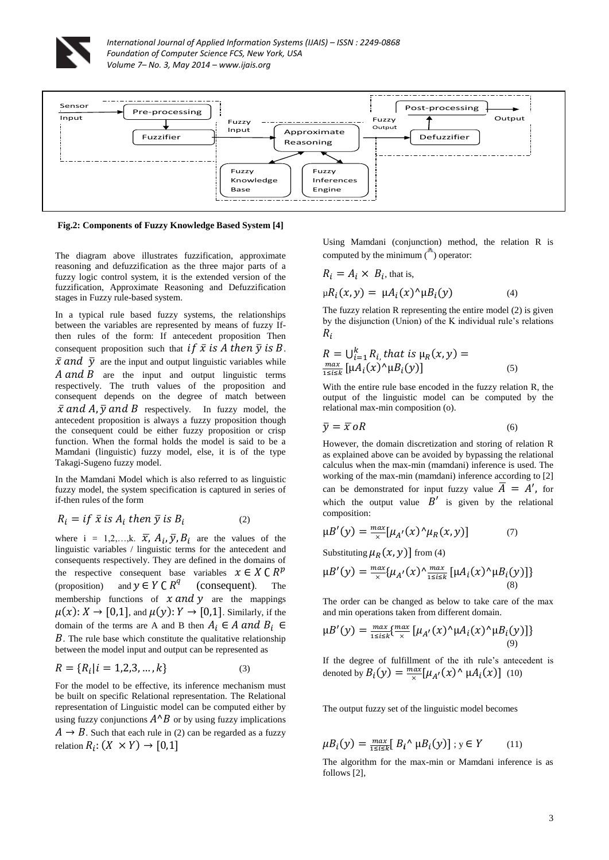



**Fig.2: Components of Fuzzy Knowledge Based System [4]**

The diagram above illustrates fuzzification, approximate reasoning and defuzzification as the three major parts of a fuzzy logic control system, it is the extended version of the fuzzification, Approximate Reasoning and Defuzzification stages in Fuzzy rule-based system.

In a typical rule based fuzzy systems, the relationships between the variables are represented by means of fuzzy Ifthen rules of the form: If antecedent proposition Then consequent proposition such that if  $\bar{x}$  is A then  $\bar{y}$  is B.  $\bar{x}$  and  $\bar{y}$  are the input and output linguistic variables while  $A$  and  $B$  are the input and output linguistic terms respectively. The truth values of the proposition and consequent depends on the degree of match between  $\bar{x}$  and A,  $\bar{y}$  and B respectively. In fuzzy model, the antecedent proposition is always a fuzzy proposition though the consequent could be either fuzzy proposition or crisp function. When the formal holds the model is said to be a Mamdani (linguistic) fuzzy model, else, it is of the type Takagi-Sugeno fuzzy model.

In the Mamdani Model which is also referred to as linguistic fuzzy model, the system specification is captured in series of if-then rules of the form

$$
R_i = if \ \bar{x} \ is \ A_i \ then \ \bar{y} \ is \ B_i \tag{2}
$$

where  $i = 1, 2, \dots, k$ .  $\overline{x}$ ,  $A_i$ ,  $\overline{y}$ ,  $B_i$  are the values of the linguistic variables / linguistic terms for the antecedent and consequents respectively. They are defined in the domains of the respective consequent base variables  $x \in X \subset R^p$ (proposition) and  $y \in Y \subset R^q$ (consequent). The membership functions of  $x$  and  $y$  are the mappings  $\mu(x): X \to [0,1]$ , and  $\mu(y): Y \to [0,1]$ . Similarly, if the domain of the terms are A and B then  $A_i \in A$  and  $B_i \in$  $B$ . The rule base which constitute the qualitative relationship between the model input and output can be represented as

$$
R = \{R_i | i = 1, 2, 3, \dots, k\}
$$
 (3)

For the model to be effective, its inference mechanism must be built on specific Relational representation. The Relational representation of Linguistic model can be computed either by using fuzzy conjunctions  $A^{\wedge}B$  or by using fuzzy implications  $A \rightarrow B$ . Such that each rule in (2) can be regarded as a fuzzy relation  $R_i$ :

Using Mamdani (conjunction) method, the relation R is computed by the minimum  $($ ) operator:

$$
R_i = A_i \times B_i, \text{ that is,}
$$
  

$$
\mu R_i(x, y) = \mu A_i(x)^{\wedge} \mu B_i(y)
$$
 (4)

The fuzzy relation R representing the entire model (2) is given by the disjunction (Union) of the K individual rule's relations  $R_i$ 

$$
R = \bigcup_{i=1}^{k} R_{i} \text{ that is } \mu_R(x, y) = \frac{\max}{1 \le i \le k} \left[ \mu A_i(x)^{\wedge} \mu B_i(y) \right] \tag{5}
$$

With the entire rule base encoded in the fuzzy relation R, the output of the linguistic model can be computed by the relational max-min composition (o).

$$
\bar{y} = \bar{x} \, oR \tag{6}
$$

However, the domain discretization and storing of relation R as explained above can be avoided by bypassing the relational calculus when the max-min (mamdani) inference is used. The working of the max-min (mamdani) inference according to [2] can be demonstrated for input fuzzy value  $\overline{A} = A'$ , for which the output value  $B'$  is given by the relational composition:

$$
\mu B'(y) = \frac{\max}{x} [\mu_{A'}(x)^\wedge \mu_R(x, y)] \tag{7}
$$

Substituting  $\mu_R(x, y)$  from (4)

$$
\mu B'(y) = \frac{\max}{x} \{ \mu_{A'}(x) \frac{\max}{1 \le i \le k} \left[ \mu A_i(x) \mu B_i(y) \right] \} \tag{8}
$$

The order can be changed as below to take care of the max and min operations taken from different domain.

$$
\mu B'(y) = \frac{\max_{1 \le i \le k} \{ \max_{x} \left[ \mu_{A'}(x)^{\wedge} \mu A_i(x)^{\wedge} \mu B_i(y) \right] \}}{\max_{(9)}
$$

If the degree of fulfillment of the ith rule's antecedent is denoted by  $B_i(y) = \frac{m}{2}$  $\frac{\partial}{\partial x}[\mu_{A'}(x)^{\wedge} \mu A_i(x)]$  (10)

The output fuzzy set of the linguistic model becomes

$$
\mu B_i(y) = \frac{\max}{1 \le i \le k} [B_i \wedge \mu B_i(y)]; y \in Y \qquad (11)
$$

The algorithm for the max-min or Mamdani inference is as follows [2],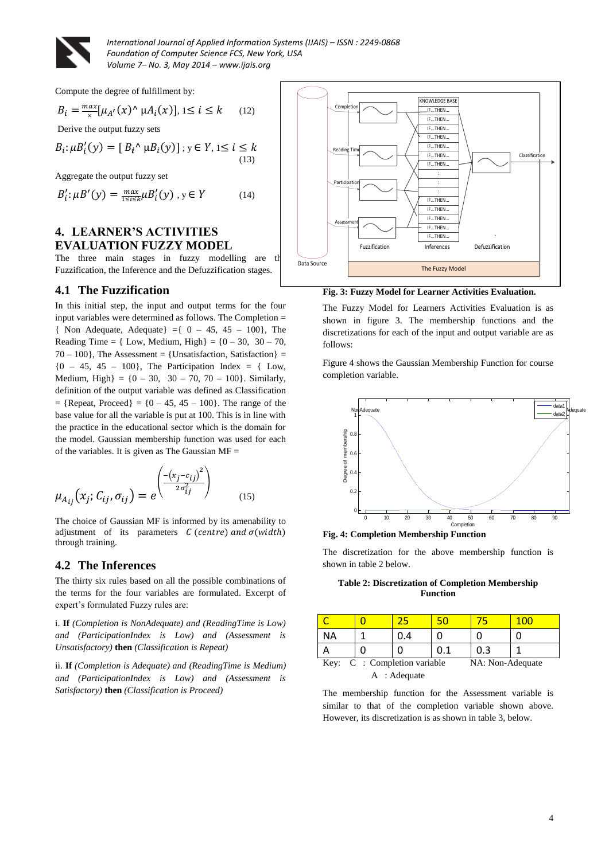

Compute the degree of fulfillment by:

$$
B_i = \frac{\max}{x} [\mu_{A'}(x) \land \mu A_i(x)], 1 \le i \le k \qquad (12)
$$

Derive the output fuzzy sets

$$
B_i: \mu B'_i(y) = [B_i \wedge \mu B_i(y)]; y \in Y, 1 \le i \le k
$$
\n(13)

Aggregate the output fuzzy set

$$
B_i': \mu B'(y) = \frac{\max}{1 \le i \le k} \mu B_i'(y), y \in Y \tag{14}
$$

# **4. LEARNER'S ACTIVITIES EVALUATION FUZZY MODEL**

The three main stages in fuzzy modelling are the Fuzzification, the Inference and the Defuzzification stages.

### **4.1 The Fuzzification**

In this initial step, the input and output terms for the four input variables were determined as follows. The Completion = { Non Adequate, Adequate} = { $0 - 45$ , 45 – 100}, The Reading Time =  $\{ Low, Medium, High \} = \{0 - 30, 30 - 70,$  $70 - 100$ , The Assessment = {Unsatisfaction, Satisfaction} =  ${0 - 45, 45 - 100}$ , The Participation Index = { Low, Medium, High $= \{0 - 30, 30 - 70, 70 - 100\}$ . Similarly, definition of the output variable was defined as Classification  $=$  {Repeat, Proceed} = {0 – 45, 45 – 100}. The range of the base value for all the variable is put at 100. This is in line with the practice in the educational sector which is the domain for the model. Gaussian membership function was used for each of the variables. It is given as The Gaussian  $MF =$ 

$$
\mu_{A_{ij}}(x_j; C_{ij}, \sigma_{ij}) = e^{\left(\frac{-\left(x_j - c_{ij}\right)^2}{2\sigma_{ij}^2}\right)}
$$
\n(15)

The choice of Gaussian MF is informed by its amenability to adjustment of its parameters  $C$  (centre) and  $\sigma(width)$ through training.

### **4.2 The Inferences**

The thirty six rules based on all the possible combinations of the terms for the four variables are formulated. Excerpt of expert's formulated Fuzzy rules are:

i. **If** *(Completion is NonAdequate) and (ReadingTime is Low) and (ParticipationIndex is Low) and (Assessment is Unsatisfactory)* **then** *(Classification is Repeat)*

ii. **If** *(Completion is Adequate) and (ReadingTime is Medium) and (ParticipationIndex is Low) and (Assessment is Satisfactory)* **then** *(Classification is Proceed)* 



**Fig. 3: Fuzzy Model for Learner Activities Evaluation.**

The Fuzzy Model for Learners Activities Evaluation is as shown in figure 3. The membership functions and the discretizations for each of the input and output variable are as follows:

Figure 4 shows the Gaussian Membership Function for course completion variable.



**Fig. 4: Completion Membership Function** 

The discretization for the above membership function is shown in table 2 below.

**Table 2: Discretization of Completion Membership Function** 

|                                                  |  |     |     |     | 100 |  |
|--------------------------------------------------|--|-----|-----|-----|-----|--|
| ΝA                                               |  | 0.4 |     |     |     |  |
|                                                  |  |     | 0.1 | 0.3 |     |  |
| Key: C : Completion variable<br>NA: Non-Adequate |  |     |     |     |     |  |
| A : Adequate                                     |  |     |     |     |     |  |

The membership function for the Assessment variable is similar to that of the completion variable shown above. However, its discretization is as shown in table 3, below.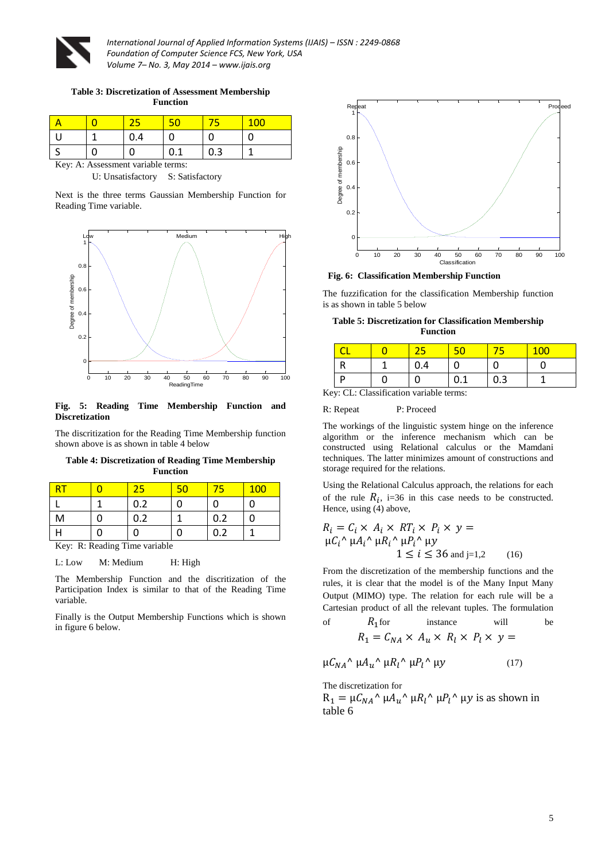

**Table 3: Discretization of Assessment Membership Function** 

|  | ,⊶ |          |     |  |
|--|----|----------|-----|--|
|  |    | $\Omega$ | 0.3 |  |

Key: A: Assessment variable terms:

U: Unsatisfactory S: Satisfactory

Next is the three terms Gaussian Membership Function for Reading Time variable.



#### **Fig. 5: Reading Time Membership Function and Discretization**

The discritization for the Reading Time Membership function shown above is as shown in table 4 below

**Table 4: Discretization of Reading Time Membership Function**

| NR⊳ | 25  | 50 |     | <b>100</b> |
|-----|-----|----|-----|------------|
|     | 0.2 |    |     |            |
| M   | 0.2 |    | 0.2 |            |
|     |     |    | 0.2 |            |

Key: R: Reading Time variable

L: Low M: Medium H: High

The Membership Function and the discritization of the Participation Index is similar to that of the Reading Time variable.

Finally is the Output Membership Functions which is shown in figure 6 below.



**Fig. 6: Classification Membership Function**

The fuzzification for the classification Membership function is as shown in table 5 below

**Table 5: Discretization for Classification Membership Function**

| $\mathbf{r}$ | $\alpha r$ $\alpha 1$ | $\cdot$ $\sim$<br>$\cdots$ | 111<br>14. |  |  |
|--------------|-----------------------|----------------------------|------------|--|--|

Key: CL: Classification variable terms:

#### R: Repeat P: Proceed

The workings of the linguistic system hinge on the inference algorithm or the inference mechanism which can be constructed using Relational calculus or the Mamdani techniques. The latter minimizes amount of constructions and storage required for the relations.

Using the Relational Calculus approach, the relations for each of the rule  $R_i$ , i=36 in this case needs to be constructed. Hence, using (4) above,

$$
R_i = C_i \times A_i \times RT_i \times P_i \times y =
$$
  
\n
$$
\mu C_i^{\wedge} \mu A_i^{\wedge} \mu R_i^{\wedge} \mu P_i^{\wedge} \mu y
$$
  
\n
$$
1 \le i \le 36 \text{ and } j=1,2
$$
 (16)

From the discretization of the membership functions and the rules, it is clear that the model is of the Many Input Many Output (MIMO) type. The relation for each rule will be a Cartesian product of all the relevant tuples. The formulation of  $R_1$  for instance will be

$$
R_1 = C_{NA} \times A_u \times R_l \times P_l \times y =
$$

$$
\mu C_{NA}^{\prime} \mu A_u^{\prime} \mu R_l^{\prime} \mu P_l^{\prime} \mu y \qquad (17)
$$

The discretization for

 $R_1 = \mu C_{NA}^{\alpha} \mu A_u^{\alpha} \mu R_l^{\alpha} \mu P_l^{\alpha} \mu y$  is as shown in table 6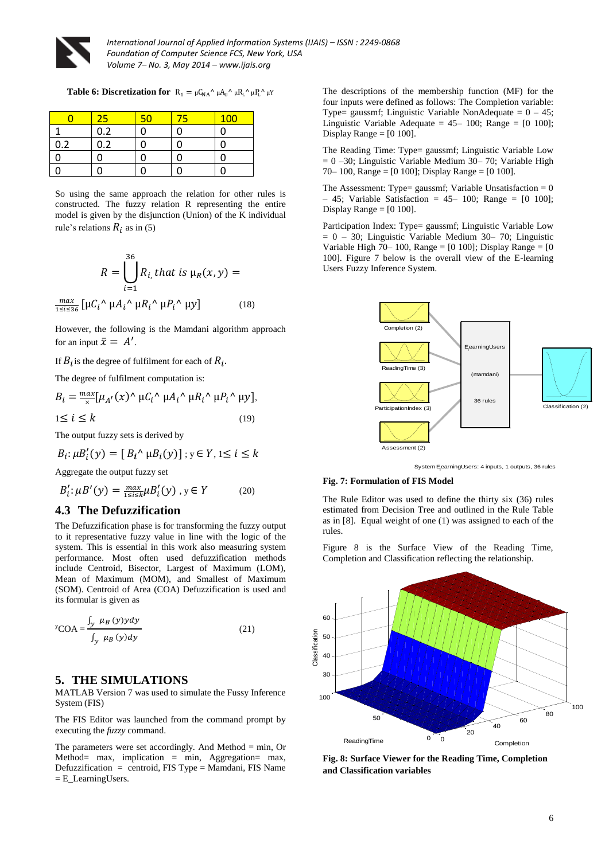

m

*International Journal of Applied Information Systems (IJAIS) – ISSN : 2249-0868 Foundation of Computer Science FCS, New York, USA Volume 7– No. 3, May 2014 – www.ijais.org*

**Table 6: Discretization for**  $R_1 = \mu C_{NA}^{\dagger} \mu A_U^{\dagger} \mu R_L^{\dagger} \mu P_L^{\dagger} \mu Y_L^{\dagger}$ 

|     | 25  |  | 100 |
|-----|-----|--|-----|
|     | 0.2 |  |     |
| 0.2 | 0.2 |  |     |
|     |     |  |     |
|     |     |  |     |

So using the same approach the relation for other rules is constructed. The fuzzy relation R representing the entire model is given by the disjunction (Union) of the K individual rule's relations  $R_i$  as in (5)

$$
R = \bigcup_{i=1}^{36} R_{i} \text{ that is } \mu_R(x, y) =
$$

$$
\frac{\max}{1 \le i \le 36} \left[ \mu C_i^{\wedge} \mu A_i^{\wedge} \mu R_i^{\wedge} \mu P_i^{\wedge} \mu y \right]
$$
(18)

However, the following is the Mamdani algorithm approach for an input  $\bar{x} = A'$ .

If  $B_i$  is the degree of fulfilment for each of  $R_i$ .

The degree of fulfilment computation is:

$$
B_i = \frac{\max}{x} [\mu_{A'}(x)^\wedge \mu C_i^\wedge \mu A_i^\wedge \mu R_i^\wedge \mu P_i^\wedge \mu y],
$$
  

$$
1 \le i \le k
$$
 (19)

The output fuzzy sets is derived by

$$
B_i: \mu B_i'(y) = [B_i \wedge \mu B_i(y)]; y \in Y, 1 \le i \le k
$$

Aggregate the output fuzzy set

$$
B_i': \mu B'(y) = \frac{\max}{1 \le i \le k} \mu B_i'(y), y \in Y \tag{20}
$$

#### **4.3 The Defuzzification**

The Defuzzification phase is for transforming the fuzzy output to it representative fuzzy value in line with the logic of the system. This is essential in this work also measuring system performance. Most often used defuzzification methods include Centroid, Bisector, Largest of Maximum (LOM), Mean of Maximum (MOM), and Smallest of Maximum (SOM). Centroid of Area (COA) Defuzzification is used and its formular is given as

$$
y_{\rm COA} = \frac{\int_{y} \mu_B(y) y dy}{\int_{y} \mu_B(y) dy}
$$
 (21)

#### **5. THE SIMULATIONS**

MATLAB Version 7 was used to simulate the Fussy Inference System (FIS)

The FIS Editor was launched from the command prompt by executing the *fuzzy* command.

The parameters were set accordingly. And Method  $=$  min, Or Method= max, implication = min, Aggregation= max, Defuzzification = centroid, FIS Type = Mamdani, FIS Name = E\_LearningUsers.

The descriptions of the membership function (MF) for the four inputs were defined as follows: The Completion variable: Type= gaussmf; Linguistic Variable NonAdequate =  $0 - 45$ ; Linguistic Variable Adequate =  $45-100$ ; Range =  $[0 100]$ ; Display Range  $=$  [0 100].

The Reading Time: Type= gaussmf; Linguistic Variable Low  $= 0 -30$ ; Linguistic Variable Medium 30– 70; Variable High 70– 100, Range =  $[0 100]$ ; Display Range =  $[0 100]$ .

The Assessment: Type= gaussmf; Variable Unsatisfaction =  $0$  $- 45$ ; Variable Satisfaction = 45 – 100; Range =  $[0 100]$ ; Display Range  $=$  [0 100].

Participation Index: Type= gaussmf; Linguistic Variable Low  $= 0 - 30$ ; Linguistic Variable Medium 30– 70; Linguistic Variable High 70– 100, Range =  $[0 100]$ ; Display Range =  $[0 0]$ 100]. Figure 7 below is the overall view of the E-learning Users Fuzzy Inference System.



System EearningUsers: 4 inputs, 1 outputs, 36 rules

#### **Fig. 7: Formulation of FIS Model**

The Rule Editor was used to define the thirty six (36) rules estimated from Decision Tree and outlined in the Rule Table as in [8]. Equal weight of one (1) was assigned to each of the rules.

Figure 8 is the Surface View of the Reading Time, Completion and Classification reflecting the relationship.



**Fig. 8: Surface Viewer for the Reading Time, Completion and Classification variables**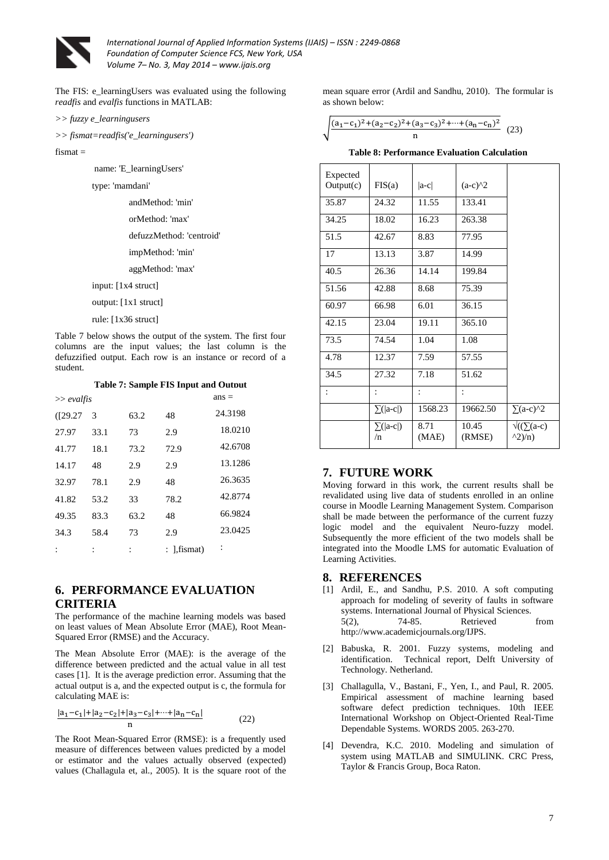

The FIS: e\_learningUsers was evaluated using the following *readfis* and *evalfis* functions in MATLAB:

*>> fuzzy e\_learningusers*

*>> fismat=readfis('e\_learningusers')*

fismat =

name: 'E\_learningUsers'

type: 'mamdani'

andMethod: 'min'

- orMethod: 'max'
- defuzzMethod: 'centroid'
- impMethod: 'min'
- aggMethod: 'max'
- input: [1x4 struct]

output: [1x1 struct]

rule: [1x36 struct]

Table 7 below shows the output of the system. The first four columns are the input values; the last column is the defuzzified output. Each row is an instance or record of a student.

**Table 7: Sample FIS Input and Output**

| $\gg$ evalfis | $ans =$ |      |                 |                |
|---------------|---------|------|-----------------|----------------|
| (I29.27)      | 3       | 63.2 | 48              | 24.3198        |
| 27.97         | 33.1    | 73   | 2.9             | 18.0210        |
| 41.77         | 18.1    | 73.2 | 72.9            | 42.6708        |
| 14.17         | 48      | 2.9  | 2.9             | 13.1286        |
| 32.97         | 78.1    | 2.9  | 48              | 26.3635        |
| 41.82         | 53.2    | 33   | 78.2            | 42.8774        |
| 49.35         | 83.3    | 63.2 | 48              | 66.9824        |
| 34.3          | 58.4    | 73   | 2.9             | 23.0425        |
|               |         |      | : $1$ , fismat) | $\ddot{\cdot}$ |

## **6. PERFORMANCE EVALUATION CRITERIA**

The performance of the machine learning models was based on least values of Mean Absolute Error (MAE), Root Mean-Squared Error (RMSE) and the Accuracy.

The Mean Absolute Error (MAE): is the average of the difference between predicted and the actual value in all test cases [1]. It is the average prediction error. Assuming that the actual output is a, and the expected output is c, the formula for calculating MAE is:

$$
\frac{|a_1 - c_1| + |a_2 - c_2| + |a_3 - c_3| + \dots + |a_n - c_n|}{n}
$$
 (22)

The Root Mean-Squared Error (RMSE): is a frequently used measure of differences between values predicted by a model or estimator and the values actually observed (expected) values (Challagula et, al., 2005). It is the square root of the mean square error (Ardil and Sandhu, 2010). The formular is as shown below:

$$
\sqrt{\frac{(a_1-c_1)^2+(a_2-c_2)^2+(a_3-c_3)^2+\cdots+(a_n-c_n)^2}{n}} \quad (23)
$$

|  |  | Table 8: Performance Evaluation Calculation |  |  |
|--|--|---------------------------------------------|--|--|
|--|--|---------------------------------------------|--|--|

| Expected<br>Output(c) | FIS(a)                 | $ a-c $       | $(a-c)^2$       |                                         |
|-----------------------|------------------------|---------------|-----------------|-----------------------------------------|
| 35.87                 | 24.32                  | 11.55         | 133.41          |                                         |
| 34.25                 | 18.02                  | 16.23         | 263.38          |                                         |
| 51.5                  | 42.67                  | 8.83          | 77.95           |                                         |
| 17                    | 13.13                  | 3.87          | 14.99           |                                         |
| 40.5                  | 26.36                  | 14.14         | 199.84          |                                         |
| 51.56                 | 42.88                  | 8.68          | 75.39           |                                         |
| 60.97                 | 66.98                  | 6.01          | 36.15           |                                         |
| 42.15                 | 23.04                  | 19.11         | 365.10          |                                         |
| 73.5                  | 74.54                  | 1.04          | 1.08            |                                         |
| 4.78                  | 12.37                  | 7.59          | 57.55           |                                         |
| 34.5                  | 27.32                  | 7.18          | 51.62           |                                         |
|                       |                        |               |                 |                                         |
|                       | $\Sigma$ ( a-c )       | 1568.23       | 19662.50        | $\sum (a-c)^2$                          |
|                       | $\Sigma$ ( a-c )<br>/n | 8.71<br>(MAE) | 10.45<br>(RMSE) | $\sqrt{( }$ ( $\sqrt{ }$ (a-c)<br>(2)/n |

#### **7. FUTURE WORK**

Moving forward in this work, the current results shall be revalidated using live data of students enrolled in an online course in Moodle Learning Management System. Comparison shall be made between the performance of the current fuzzy logic model and the equivalent Neuro-fuzzy model. Subsequently the more efficient of the two models shall be integrated into the Moodle LMS for automatic Evaluation of Learning Activities.

#### **8. REFERENCES**

- [1] Ardil, E., and Sandhu, P.S. 2010. A soft computing approach for modeling of severity of faults in software systems. International Journal of Physical Sciences. 5(2), 74-85. Retrieved from http://www.academicjournals.org/IJPS.
- [2] Babuska, R. 2001. Fuzzy systems, modeling and identification. Technical report, Delft University of Technology. Netherland.
- [3] Challagulla, V., Bastani, F., Yen, I., and Paul, R. 2005. Empirical assessment of machine learning based software defect prediction techniques. 10th IEEE International Workshop on Object-Oriented Real-Time Dependable Systems. WORDS 2005. 263-270.
- [4] Devendra, K.C. 2010. Modeling and simulation of system using MATLAB and SIMULINK. CRC Press, Taylor & Francis Group, Boca Raton.